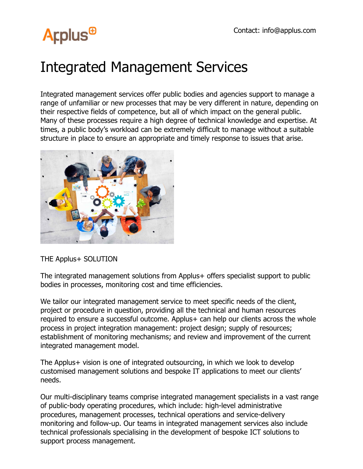## **Arplus<sup>®</sup>**

### Integrated Management Services

Integrated management services offer public bodies and agencies support to manage a range of unfamiliar or new processes that may be very different in nature, depending on their respective fields of competence, but all of which impact on the general public. Many of these processes require a high degree of technical knowledge and expertise. At times, a public body's workload can be extremely difficult to manage without a suitable structure in place to ensure an appropriate and timely response to issues that arise.



#### THE Applus+ SOLUTION

The integrated management solutions from Applus+ offers specialist support to public bodies in processes, monitoring cost and time efficiencies.

We tailor our integrated management service to meet specific needs of the client, project or procedure in question, providing all the technical and human resources required to ensure a successful outcome. Applus+ can help our clients across the whole process in project integration management: project design; supply of resources; establishment of monitoring mechanisms; and review and improvement of the current integrated management model.

The Applus+ vision is one of integrated outsourcing, in which we look to develop customised management solutions and bespoke IT applications to meet our clients' needs.

Our multi-disciplinary teams comprise integrated management specialists in a vast range of public-body operating procedures, which include: high-level administrative procedures, management processes, technical operations and service-delivery monitoring and follow-up. Our teams in integrated management services also include technical professionals specialising in the development of bespoke ICT solutions to support process management.